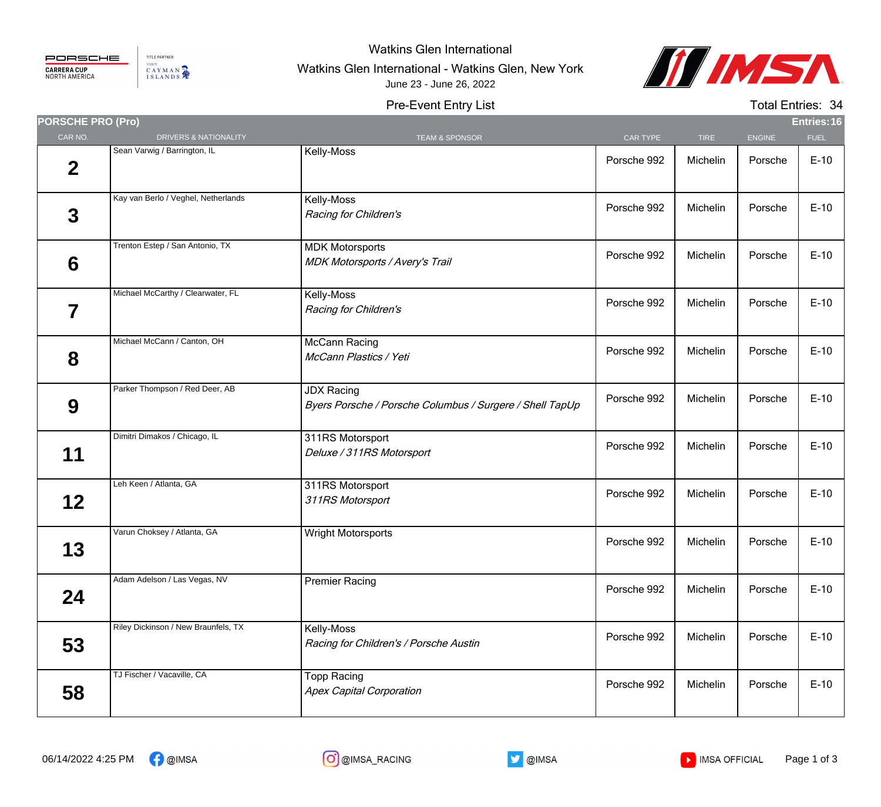

TITLE PARTNER VISIT CAYMAN

## Watkins Glen International

Watkins Glen International - Watkins Glen, New York



## Pre-Event Entry List June 23 - June 26, 2022

Total Entries: 34

| <b>PORSCHE PRO (Pro)</b> |                                     |                                                                               |             |             |               | Entries: 16 |
|--------------------------|-------------------------------------|-------------------------------------------------------------------------------|-------------|-------------|---------------|-------------|
| CAR NO.                  | DRIVERS & NATIONALITY               | <b>TEAM &amp; SPONSOR</b>                                                     | CAR TYPE    | <b>TIRE</b> | <b>ENGINE</b> | <b>FUEL</b> |
| $\mathbf 2$              | Sean Varwig / Barrington, IL        | Kelly-Moss                                                                    | Porsche 992 | Michelin    | Porsche       | $E-10$      |
| 3                        | Kay van Berlo / Veghel, Netherlands | Kelly-Moss<br>Racing for Children's                                           | Porsche 992 | Michelin    | Porsche       | $E-10$      |
| 6                        | Trenton Estep / San Antonio, TX     | <b>MDK Motorsports</b><br><b>MDK Motorsports / Avery's Trail</b>              | Porsche 992 | Michelin    | Porsche       | $E-10$      |
| 7                        | Michael McCarthy / Clearwater, FL   | Kelly-Moss<br>Racing for Children's                                           | Porsche 992 | Michelin    | Porsche       | $E-10$      |
| 8                        | Michael McCann / Canton, OH         | McCann Racing<br>McCann Plastics / Yeti                                       | Porsche 992 | Michelin    | Porsche       | $E-10$      |
| 9                        | Parker Thompson / Red Deer, AB      | <b>JDX Racing</b><br>Byers Porsche / Porsche Columbus / Surgere / Shell TapUp | Porsche 992 | Michelin    | Porsche       | $E-10$      |
| 11                       | Dimitri Dimakos / Chicago, IL       | 311RS Motorsport<br>Deluxe / 311RS Motorsport                                 | Porsche 992 | Michelin    | Porsche       | $E-10$      |
| 12                       | Leh Keen / Atlanta, GA              | 311RS Motorsport<br>311RS Motorsport                                          | Porsche 992 | Michelin    | Porsche       | $E-10$      |
| 13                       | Varun Choksey / Atlanta, GA         | Wright Motorsports                                                            | Porsche 992 | Michelin    | Porsche       | $E-10$      |
| 24                       | Adam Adelson / Las Vegas, NV        | <b>Premier Racing</b>                                                         | Porsche 992 | Michelin    | Porsche       | $E-10$      |
| 53                       | Riley Dickinson / New Braunfels, TX | Kelly-Moss<br>Racing for Children's / Porsche Austin                          | Porsche 992 | Michelin    | Porsche       | $E-10$      |
| 58                       | TJ Fischer / Vacaville, CA          | <b>Topp Racing</b><br><b>Apex Capital Corporation</b>                         | Porsche 992 | Michelin    | Porsche       | $E-10$      |



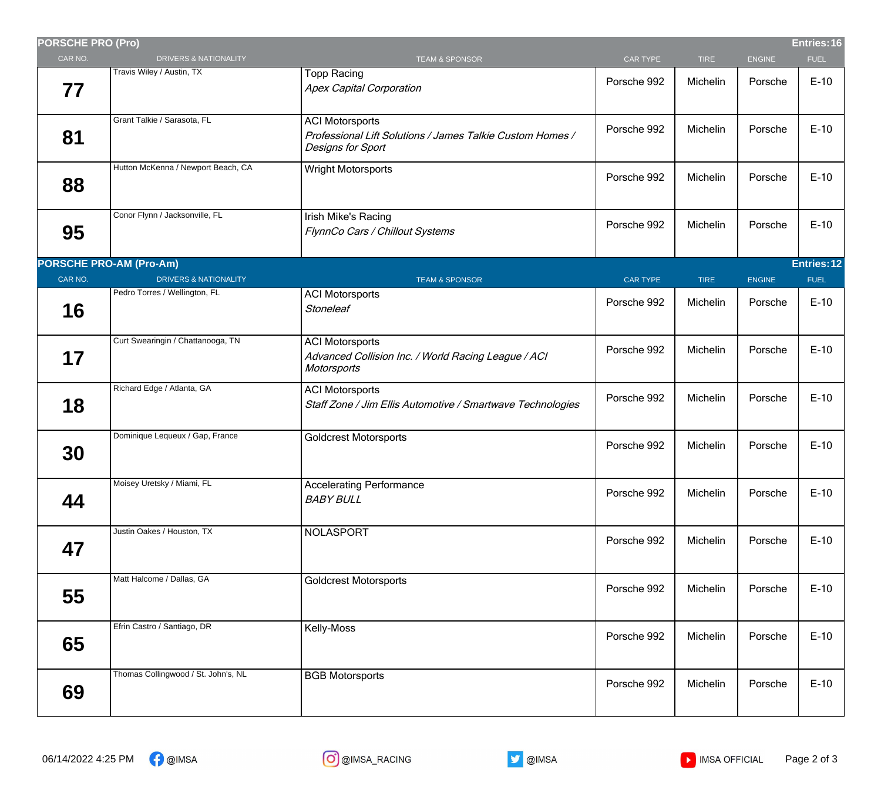| <b>PORSCHE PRO (Pro)</b> |                                     |                                                                                                          |                 |             |               | Entries: 16 |
|--------------------------|-------------------------------------|----------------------------------------------------------------------------------------------------------|-----------------|-------------|---------------|-------------|
| CAR NO.                  | <b>DRIVERS &amp; NATIONALITY</b>    | <b>TEAM &amp; SPONSOR</b>                                                                                | CAR TYPE        | <b>TIRE</b> | <b>ENGINE</b> | <b>FUEL</b> |
| 77                       | Travis Wiley / Austin, TX           | <b>Topp Racing</b><br><b>Apex Capital Corporation</b>                                                    | Porsche 992     | Michelin    | Porsche       | $E-10$      |
| 81                       | Grant Talkie / Sarasota, FL         | <b>ACI Motorsports</b><br>Professional Lift Solutions / James Talkie Custom Homes /<br>Designs for Sport | Porsche 992     | Michelin    | Porsche       | $E-10$      |
| 88                       | Hutton McKenna / Newport Beach, CA  | <b>Wright Motorsports</b>                                                                                | Porsche 992     | Michelin    | Porsche       | $E-10$      |
| 95                       | Conor Flynn / Jacksonville, FL      | Irish Mike's Racing<br>FlynnCo Cars / Chillout Systems                                                   | Porsche 992     | Michelin    | Porsche       | $E-10$      |
|                          | <b>PORSCHE PRO-AM (Pro-Am)</b>      |                                                                                                          |                 |             |               | Entries: 12 |
| CAR NO.                  | <b>DRIVERS &amp; NATIONALITY</b>    | <b>TEAM &amp; SPONSOR</b>                                                                                | <b>CAR TYPE</b> | <b>TIRE</b> | <b>ENGINE</b> | <b>FUEL</b> |
| 16                       | Pedro Torres / Wellington, FL       | <b>ACI Motorsports</b><br><b>Stoneleaf</b>                                                               | Porsche 992     | Michelin    | Porsche       | $E-10$      |
| 17                       | Curt Swearingin / Chattanooga, TN   | <b>ACI Motorsports</b><br>Advanced Collision Inc. / World Racing League / ACI<br>Motorsports             | Porsche 992     | Michelin    | Porsche       | $E-10$      |
| 18                       | Richard Edge / Atlanta, GA          | <b>ACI Motorsports</b><br>Staff Zone / Jim Ellis Automotive / Smartwave Technologies                     | Porsche 992     | Michelin    | Porsche       | $E-10$      |
| 30                       | Dominique Lequeux / Gap, France     | <b>Goldcrest Motorsports</b>                                                                             | Porsche 992     | Michelin    | Porsche       | $E-10$      |
| 44                       | Moisey Uretsky / Miami, FL          | <b>Accelerating Performance</b><br><b>BABY BULL</b>                                                      | Porsche 992     | Michelin    | Porsche       | $E-10$      |
| 47                       | Justin Oakes / Houston, TX          | NOLASPORT                                                                                                | Porsche 992     | Michelin    | Porsche       | $E-10$      |
| 55                       | Matt Halcome / Dallas, GA           | <b>Goldcrest Motorsports</b>                                                                             | Porsche 992     | Michelin    | Porsche       | $E-10$      |
| 65                       | Efrin Castro / Santiago, DR         | Kelly-Moss                                                                                               | Porsche 992     | Michelin    | Porsche       | $E-10$      |
| 69                       | Thomas Collingwood / St. John's, NL | <b>BGB Motorsports</b>                                                                                   | Porsche 992     | Michelin    | Porsche       | $E-10$      |
|                          |                                     |                                                                                                          |                 |             |               |             |